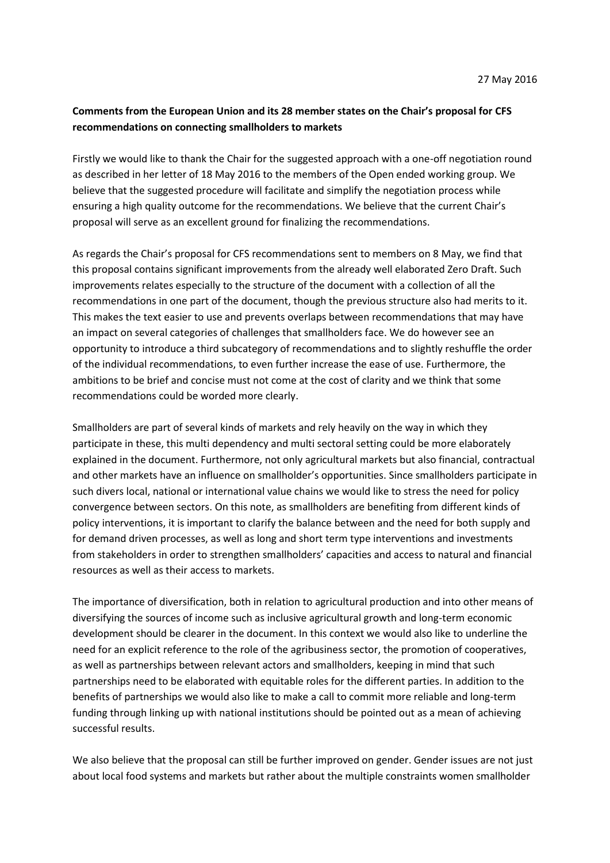# **Comments from the European Union and its 28 member states on the Chair's proposal for CFS recommendations on connecting smallholders to markets**

Firstly we would like to thank the Chair for the suggested approach with a one-off negotiation round as described in her letter of 18 May 2016 to the members of the Open ended working group. We believe that the suggested procedure will facilitate and simplify the negotiation process while ensuring a high quality outcome for the recommendations. We believe that the current Chair's proposal will serve as an excellent ground for finalizing the recommendations.

As regards the Chair's proposal for CFS recommendations sent to members on 8 May, we find that this proposal contains significant improvements from the already well elaborated Zero Draft. Such improvements relates especially to the structure of the document with a collection of all the recommendations in one part of the document, though the previous structure also had merits to it. This makes the text easier to use and prevents overlaps between recommendations that may have an impact on several categories of challenges that smallholders face. We do however see an opportunity to introduce a third subcategory of recommendations and to slightly reshuffle the order of the individual recommendations, to even further increase the ease of use. Furthermore, the ambitions to be brief and concise must not come at the cost of clarity and we think that some recommendations could be worded more clearly.

Smallholders are part of several kinds of markets and rely heavily on the way in which they participate in these, this multi dependency and multi sectoral setting could be more elaborately explained in the document. Furthermore, not only agricultural markets but also financial, contractual and other markets have an influence on smallholder's opportunities. Since smallholders participate in such divers local, national or international value chains we would like to stress the need for policy convergence between sectors. On this note, as smallholders are benefiting from different kinds of policy interventions, it is important to clarify the balance between and the need for both supply and for demand driven processes, as well as long and short term type interventions and investments from stakeholders in order to strengthen smallholders' capacities and access to natural and financial resources as well as their access to markets.

The importance of diversification, both in relation to agricultural production and into other means of diversifying the sources of income such as inclusive agricultural growth and long-term economic development should be clearer in the document. In this context we would also like to underline the need for an explicit reference to the role of the agribusiness sector, the promotion of cooperatives, as well as partnerships between relevant actors and smallholders, keeping in mind that such partnerships need to be elaborated with equitable roles for the different parties. In addition to the benefits of partnerships we would also like to make a call to commit more reliable and long-term funding through linking up with national institutions should be pointed out as a mean of achieving successful results.

We also believe that the proposal can still be further improved on gender. Gender issues are not just about local food systems and markets but rather about the multiple constraints women smallholder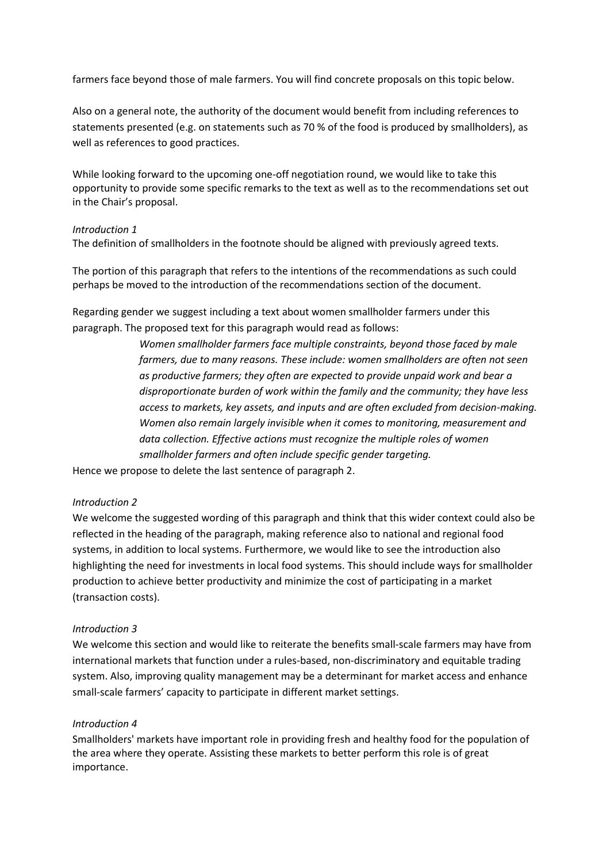farmers face beyond those of male farmers. You will find concrete proposals on this topic below.

Also on a general note, the authority of the document would benefit from including references to statements presented (e.g. on statements such as 70 % of the food is produced by smallholders), as well as references to good practices.

While looking forward to the upcoming one-off negotiation round, we would like to take this opportunity to provide some specific remarks to the text as well as to the recommendations set out in the Chair's proposal.

# *Introduction 1*

The definition of smallholders in the footnote should be aligned with previously agreed texts.

The portion of this paragraph that refers to the intentions of the recommendations as such could perhaps be moved to the introduction of the recommendations section of the document.

Regarding gender we suggest including a text about women smallholder farmers under this paragraph. The proposed text for this paragraph would read as follows:

> *Women smallholder farmers face multiple constraints, beyond those faced by male farmers, due to many reasons. These include: women smallholders are often not seen as productive farmers; they often are expected to provide unpaid work and bear a disproportionate burden of work within the family and the community; they have less access to markets, key assets, and inputs and are often excluded from decision-making. Women also remain largely invisible when it comes to monitoring, measurement and data collection. Effective actions must recognize the multiple roles of women smallholder farmers and often include specific gender targeting.*

Hence we propose to delete the last sentence of paragraph 2.

# *Introduction 2*

We welcome the suggested wording of this paragraph and think that this wider context could also be reflected in the heading of the paragraph, making reference also to national and regional food systems, in addition to local systems. Furthermore, we would like to see the introduction also highlighting the need for investments in local food systems. This should include ways for smallholder production to achieve better productivity and minimize the cost of participating in a market (transaction costs).

# *Introduction 3*

We welcome this section and would like to reiterate the benefits small-scale farmers may have from international markets that function under a rules-based, non-discriminatory and equitable trading system. Also, improving quality management may be a determinant for market access and enhance small-scale farmers' capacity to participate in different market settings.

#### *Introduction 4*

Smallholders' markets have important role in providing fresh and healthy food for the population of the area where they operate. Assisting these markets to better perform this role is of great importance.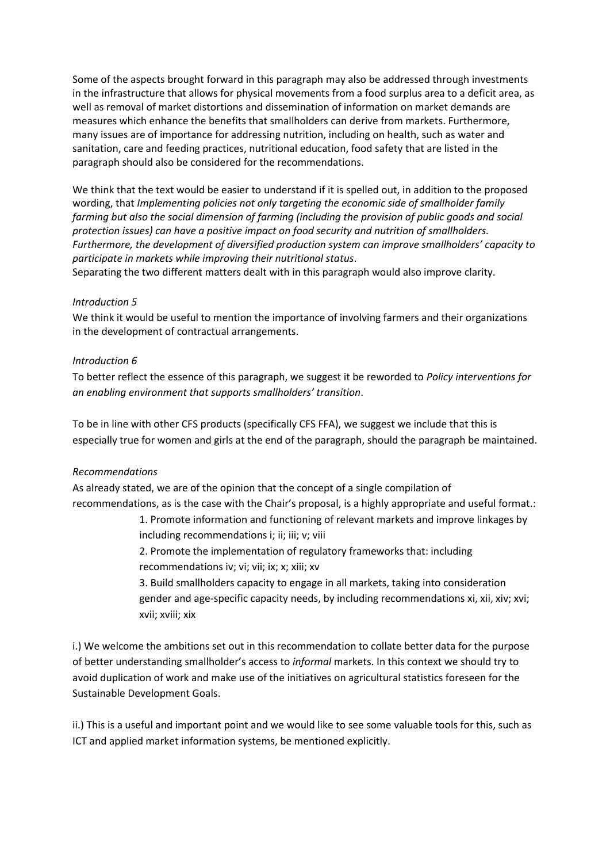Some of the aspects brought forward in this paragraph may also be addressed through investments in the infrastructure that allows for physical movements from a food surplus area to a deficit area, as well as removal of market distortions and dissemination of information on market demands are measures which enhance the benefits that smallholders can derive from markets. Furthermore, many issues are of importance for addressing nutrition, including on health, such as water and sanitation, care and feeding practices, nutritional education, food safety that are listed in the paragraph should also be considered for the recommendations.

We think that the text would be easier to understand if it is spelled out, in addition to the proposed wording, that *Implementing policies not only targeting the economic side of smallholder family farming but also the social dimension of farming (including the provision of public goods and social protection issues) can have a positive impact on food security and nutrition of smallholders. Furthermore, the development of diversified production system can improve smallholders' capacity to participate in markets while improving their nutritional status*.

Separating the two different matters dealt with in this paragraph would also improve clarity.

### *Introduction 5*

We think it would be useful to mention the importance of involving farmers and their organizations in the development of contractual arrangements.

### *Introduction 6*

To better reflect the essence of this paragraph, we suggest it be reworded to *Policy interventions for an enabling environment that supports smallholders' transition*.

To be in line with other CFS products (specifically CFS FFA), we suggest we include that this is especially true for women and girls at the end of the paragraph, should the paragraph be maintained.

#### *Recommendations*

As already stated, we are of the opinion that the concept of a single compilation of recommendations, as is the case with the Chair's proposal, is a highly appropriate and useful format.:

> 1. Promote information and functioning of relevant markets and improve linkages by including recommendations i; ii; iii; v; viii

2. Promote the implementation of regulatory frameworks that: including recommendations iv; vi; vii; ix; x; xiii; xv

3. Build smallholders capacity to engage in all markets, taking into consideration gender and age-specific capacity needs, by including recommendations xi, xii, xiv; xvi; xvii; xviii; xix

i.) We welcome the ambitions set out in this recommendation to collate better data for the purpose of better understanding smallholder's access to *informal* markets. In this context we should try to avoid duplication of work and make use of the initiatives on agricultural statistics foreseen for the Sustainable Development Goals.

ii.) This is a useful and important point and we would like to see some valuable tools for this, such as ICT and applied market information systems, be mentioned explicitly.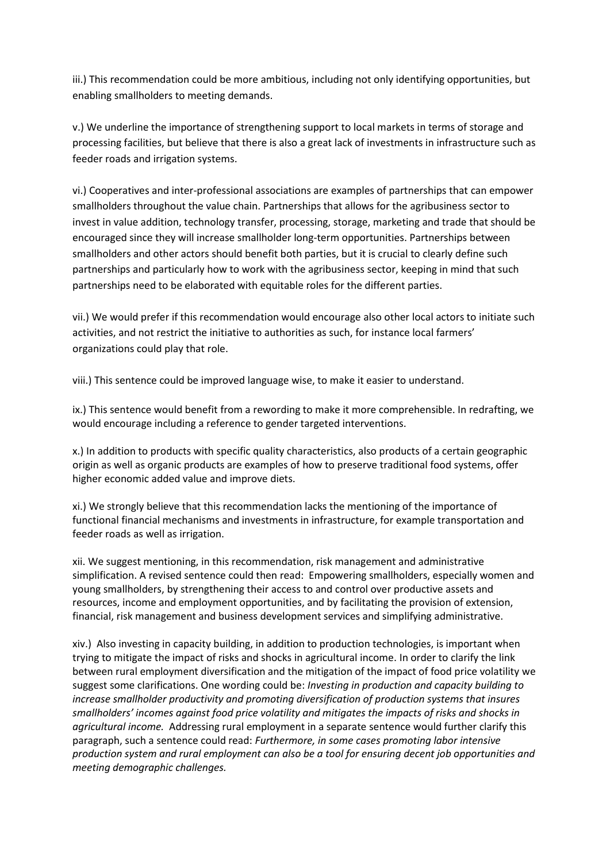iii.) This recommendation could be more ambitious, including not only identifying opportunities, but enabling smallholders to meeting demands.

v.) We underline the importance of strengthening support to local markets in terms of storage and processing facilities, but believe that there is also a great lack of investments in infrastructure such as feeder roads and irrigation systems.

vi.) Cooperatives and inter-professional associations are examples of partnerships that can empower smallholders throughout the value chain. Partnerships that allows for the agribusiness sector to invest in value addition, technology transfer, processing, storage, marketing and trade that should be encouraged since they will increase smallholder long-term opportunities. Partnerships between smallholders and other actors should benefit both parties, but it is crucial to clearly define such partnerships and particularly how to work with the agribusiness sector, keeping in mind that such partnerships need to be elaborated with equitable roles for the different parties.

vii.) We would prefer if this recommendation would encourage also other local actors to initiate such activities, and not restrict the initiative to authorities as such, for instance local farmers' organizations could play that role.

viii.) This sentence could be improved language wise, to make it easier to understand.

ix.) This sentence would benefit from a rewording to make it more comprehensible. In redrafting, we would encourage including a reference to gender targeted interventions.

x.) In addition to products with specific quality characteristics, also products of a certain geographic origin as well as organic products are examples of how to preserve traditional food systems, offer higher economic added value and improve diets.

xi.) We strongly believe that this recommendation lacks the mentioning of the importance of functional financial mechanisms and investments in infrastructure, for example transportation and feeder roads as well as irrigation.

xii. We suggest mentioning, in this recommendation, risk management and administrative simplification. A revised sentence could then read: Empowering smallholders, especially women and young smallholders, by strengthening their access to and control over productive assets and resources, income and employment opportunities, and by facilitating the provision of extension, financial, risk management and business development services and simplifying administrative.

xiv.) Also investing in capacity building, in addition to production technologies, is important when trying to mitigate the impact of risks and shocks in agricultural income. In order to clarify the link between rural employment diversification and the mitigation of the impact of food price volatility we suggest some clarifications. One wording could be: *Investing in production and capacity building to increase smallholder productivity and promoting diversification of production systems that insures smallholders' incomes against food price volatility and mitigates the impacts of risks and shocks in agricultural income.* Addressing rural employment in a separate sentence would further clarify this paragraph, such a sentence could read: *Furthermore, in some cases promoting labor intensive production system and rural employment can also be a tool for ensuring decent job opportunities and meeting demographic challenges.*